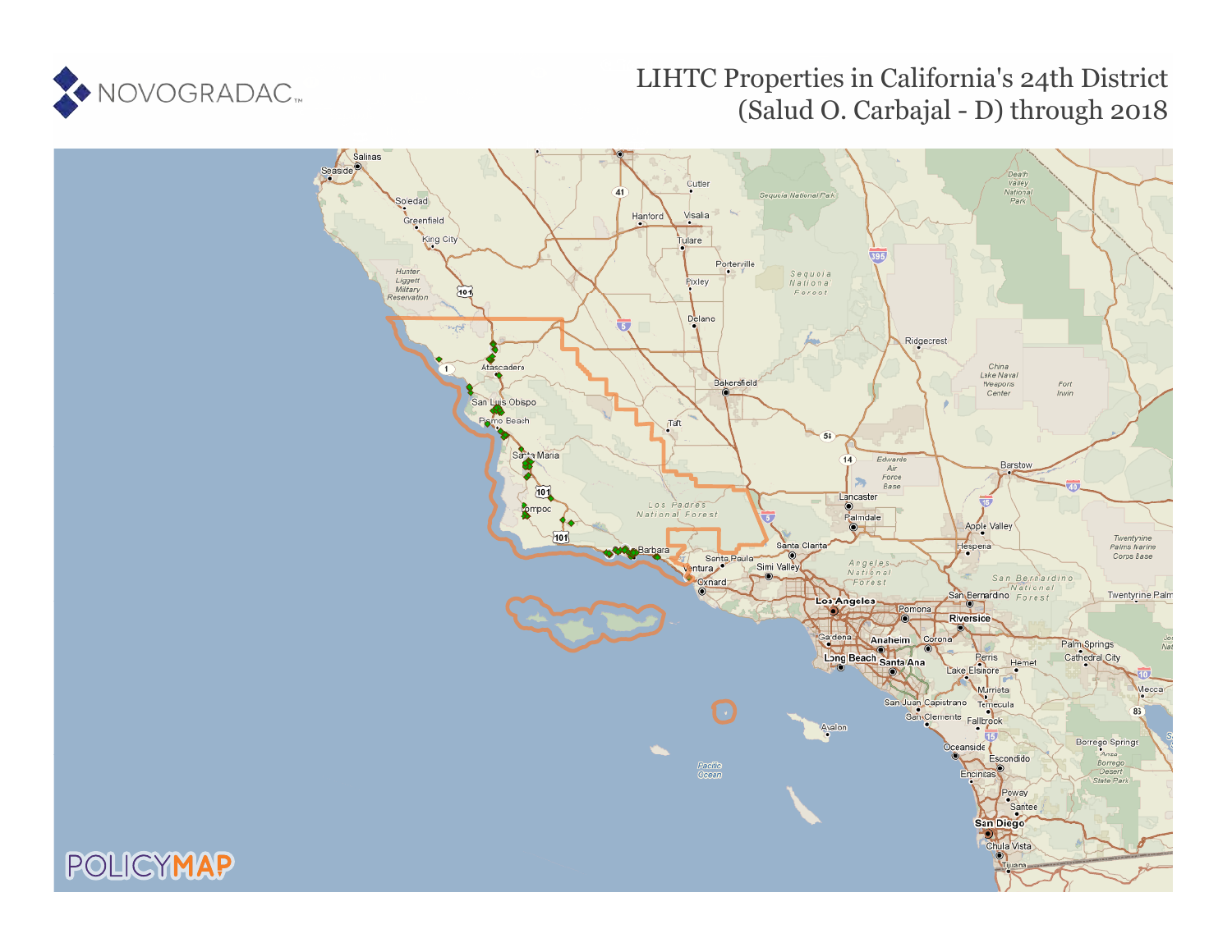

# LIHTC Properties in California's 24th District (Salud O. Carbajal - D) through 2018

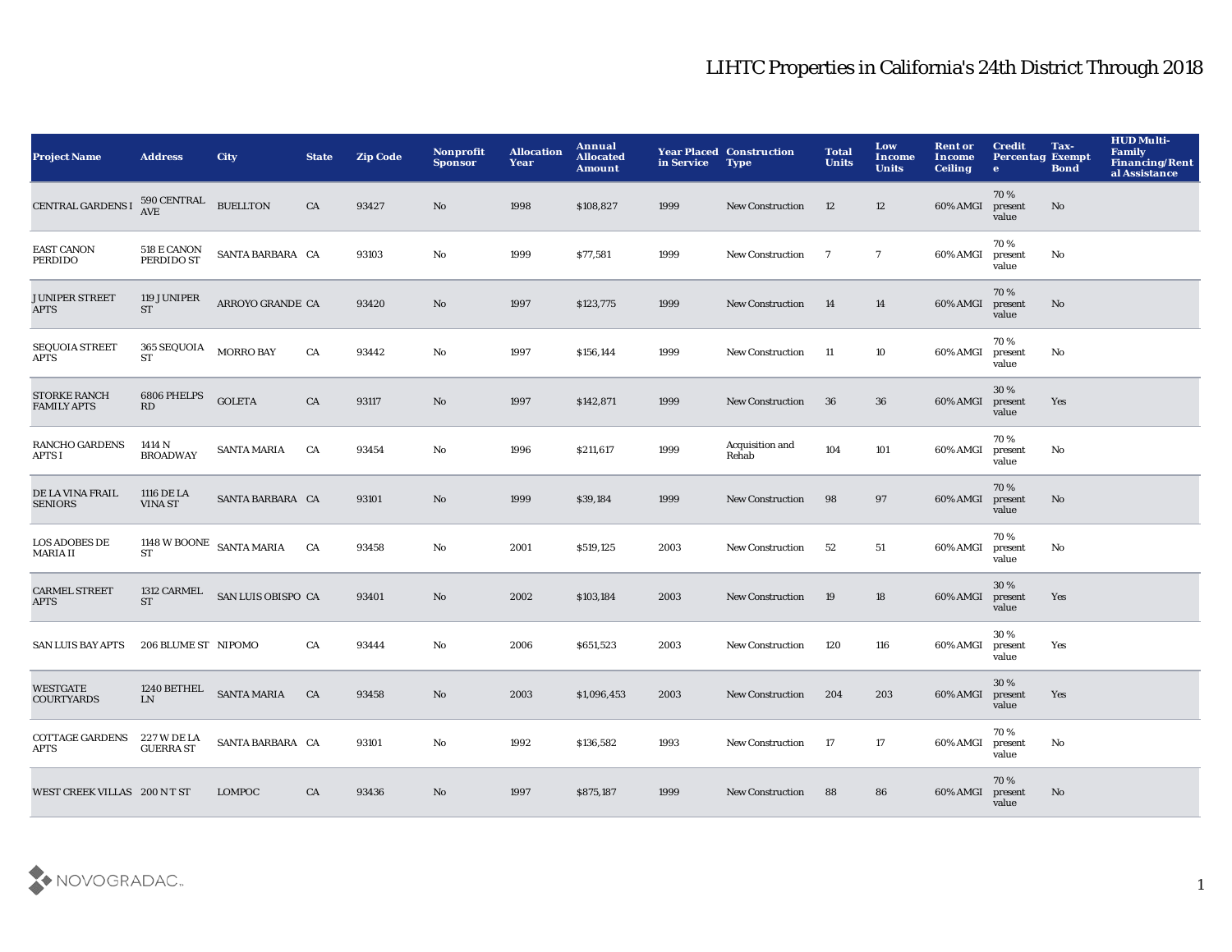| <b>Project Name</b>                       | <b>Address</b>                     | <b>City</b>                   | <b>State</b> | <b>Zip Code</b> | <b>Nonprofit</b><br><b>Sponsor</b> | <b>Allocation</b><br>Year | Annual<br><b>Allocated</b><br><b>Amount</b> | in Service | <b>Year Placed Construction</b><br><b>Type</b> | <b>Total</b><br><b>Units</b> | Low<br><b>Income</b><br><b>Units</b> | <b>Rent or</b><br>Income<br><b>Ceiling</b> | <b>Credit</b><br><b>Percentag Exempt</b><br>$\bullet$ | Tax-<br><b>Bond</b> | <b>HUD Multi-</b><br>Family<br>Financing/Rent<br>al Assistance |
|-------------------------------------------|------------------------------------|-------------------------------|--------------|-----------------|------------------------------------|---------------------------|---------------------------------------------|------------|------------------------------------------------|------------------------------|--------------------------------------|--------------------------------------------|-------------------------------------------------------|---------------------|----------------------------------------------------------------|
| <b>CENTRAL GARDENS I</b>                  | 590 CENTRAL BUELLTON<br><b>AVE</b> |                               | CA           | 93427           | No                                 | 1998                      | \$108,827                                   | 1999       | <b>New Construction</b>                        | 12                           | 12                                   | 60% AMGI                                   | 70%<br>present<br>value                               | $\mathbf{No}$       |                                                                |
| <b>EAST CANON</b><br>PERDIDO              | 518 E CANON<br>PERDIDO ST          | SANTA BARBARA CA              |              | 93103           | No                                 | 1999                      | \$77,581                                    | 1999       | <b>New Construction</b>                        | $\overline{7}$               | $\overline{7}$                       | 60% AMGI                                   | 70%<br>present<br>value                               | No                  |                                                                |
| <b>JUNIPER STREET</b><br><b>APTS</b>      | 119 JUNIPER<br><b>ST</b>           | ARROYO GRANDE CA              |              | 93420           | No                                 | 1997                      | \$123,775                                   | 1999       | <b>New Construction</b>                        | 14                           | 14                                   | 60% AMGI                                   | 70%<br>present<br>value                               | No                  |                                                                |
| <b>SEQUOIA STREET</b><br>APTS             | <b>365 SEQUOIA</b><br>ST           | <b>MORRO BAY</b>              | CA           | 93442           | No                                 | 1997                      | \$156,144                                   | 1999       | <b>New Construction</b>                        | -11                          | 10                                   | 60% AMGI                                   | 70%<br>present<br>value                               | No                  |                                                                |
| <b>STORKE RANCH</b><br><b>FAMILY APTS</b> | 6806 PHELPS<br>RD                  | <b>GOLETA</b>                 | CA           | 93117           | No                                 | 1997                      | \$142,871                                   | 1999       | <b>New Construction</b>                        | 36                           | 36                                   | 60% AMGI                                   | 30%<br>present<br>value                               | Yes                 |                                                                |
| RANCHO GARDENS<br>APTS I                  | 1414 N<br><b>BROADWAY</b>          | <b>SANTA MARIA</b>            | CA           | 93454           | No                                 | 1996                      | \$211,617                                   | 1999       | Acquisition and<br>Rehab                       | 104                          | 101                                  | 60% AMGI                                   | 70%<br>present<br>value                               | No                  |                                                                |
| DE LA VINA FRAIL<br><b>SENIORS</b>        | 1116 DE LA<br><b>VINA ST</b>       | SANTA BARBARA CA              |              | 93101           | No                                 | 1999                      | \$39,184                                    | 1999       | <b>New Construction</b>                        | 98                           | 97                                   | 60% AMGI                                   | 70%<br>present<br>value                               | No                  |                                                                |
| <b>LOS ADOBES DE</b><br>MARIA II          | ST                                 | 1148 W BOONE $\,$ SANTA MARIA | CA           | 93458           | No                                 | 2001                      | \$519,125                                   | 2003       | <b>New Construction</b>                        | 52                           | 51                                   | 60% AMGI                                   | 70%<br>present<br>value                               | No                  |                                                                |
| <b>CARMEL STREET</b><br><b>APTS</b>       | 1312 CARMEL<br><b>ST</b>           | SAN LUIS OBISPO CA            |              | 93401           | No                                 | 2002                      | \$103,184                                   | 2003       | New Construction                               | 19                           | 18                                   | 60% AMGI                                   | 30%<br>present<br>value                               | Yes                 |                                                                |
| <b>SAN LUIS BAY APTS</b>                  | 206 BLUME ST NIPOMO                |                               | CA           | 93444           | No                                 | 2006                      | \$651,523                                   | 2003       | <b>New Construction</b>                        | 120                          | 116                                  | 60% AMGI                                   | 30 %<br>present<br>value                              | Yes                 |                                                                |
| <b>WESTGATE</b><br><b>COURTYARDS</b>      | <b>LN</b>                          | 1240 BETHEL SANTA MARIA       | CA           | 93458           | No                                 | 2003                      | \$1,096,453                                 | 2003       | <b>New Construction</b>                        | 204                          | 203                                  | 60% AMGI                                   | 30%<br>present<br>value                               | Yes                 |                                                                |
| <b>COTTAGE GARDENS</b><br>APTS            | 227 W DE LA<br><b>GUERRA ST</b>    | SANTA BARBARA CA              |              | 93101           | No                                 | 1992                      | \$136,582                                   | 1993       | New Construction                               | 17                           | 17                                   | 60% AMGI                                   | 70%<br>present<br>value                               | No                  |                                                                |
| WEST CREEK VILLAS 200 N T ST              |                                    | <b>LOMPOC</b>                 | CA           | 93436           | N <sub>o</sub>                     | 1997                      | \$875,187                                   | 1999       | <b>New Construction</b>                        | 88                           | 86                                   | 60% AMGI                                   | 70%<br>present<br>value                               | No                  |                                                                |

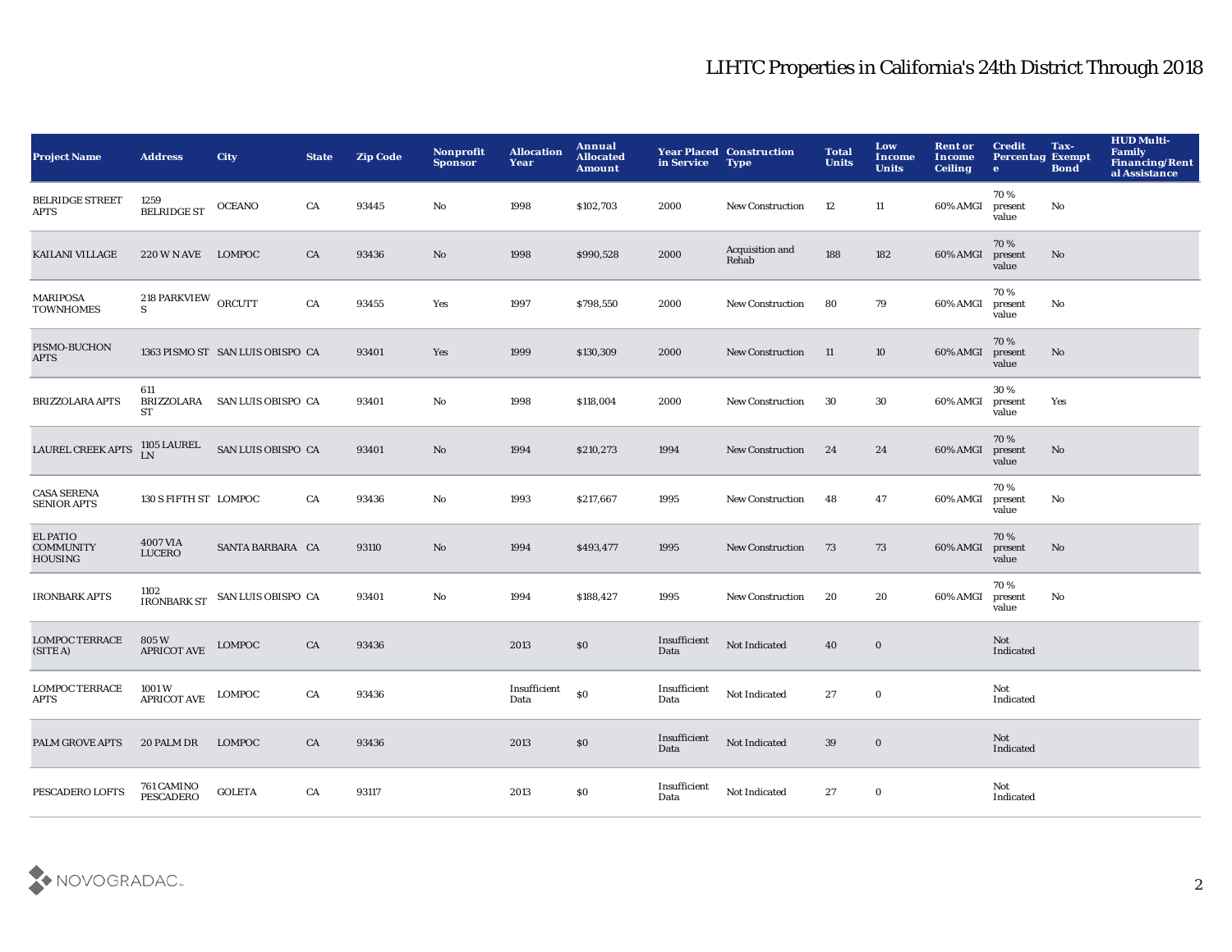| <b>Project Name</b>                                   | <b>Address</b>                 | <b>City</b>                                            | <b>State</b> | <b>Zip Code</b> | Nonprofit<br><b>Sponsor</b> | <b>Allocation</b><br>Year | Annual<br><b>Allocated</b><br><b>Amount</b> | in Service           | <b>Year Placed Construction</b><br><b>Type</b> | <b>Total</b><br><b>Units</b> | Low<br><b>Income</b><br><b>Units</b> | <b>Rent or</b><br>Income<br><b>Ceiling</b> | <b>Credit</b><br><b>Percentag Exempt</b><br>$\bullet$ | Tax-<br><b>Bond</b> | <b>HUD Multi-</b><br>Family<br>Financing/Rent<br>al Assistance |
|-------------------------------------------------------|--------------------------------|--------------------------------------------------------|--------------|-----------------|-----------------------------|---------------------------|---------------------------------------------|----------------------|------------------------------------------------|------------------------------|--------------------------------------|--------------------------------------------|-------------------------------------------------------|---------------------|----------------------------------------------------------------|
| <b>BELRIDGE STREET</b><br>APTS                        | 1259<br><b>BELRIDGE ST</b>     | <b>OCEANO</b>                                          | CA           | 93445           | No                          | 1998                      | \$102,703                                   | 2000                 | <b>New Construction</b>                        | 12                           | 11                                   | 60% AMGI                                   | 70%<br>present<br>value                               | No                  |                                                                |
| <b>KAILANI VILLAGE</b>                                | 220 W N AVE LOMPOC             |                                                        | CA           | 93436           | No                          | 1998                      | \$990,528                                   | 2000                 | Acquisition and<br>Rehab                       | 188                          | 182                                  | 60% AMGI                                   | 70%<br>present<br>value                               | No                  |                                                                |
| MARIPOSA<br><b>TOWNHOMES</b>                          | 218 PARKVIEW ORCUTT<br>S.      |                                                        | CA           | 93455           | Yes                         | 1997                      | \$798,550                                   | 2000                 | <b>New Construction</b>                        | 80                           | 79                                   | 60% AMGI                                   | 70%<br>present<br>value                               | No                  |                                                                |
| PISMO-BUCHON<br>APTS                                  |                                | 1363 PISMO ST SAN LUIS OBISPO CA                       |              | 93401           | Yes                         | 1999                      | \$130,309                                   | 2000                 | <b>New Construction</b>                        | -11                          | 10                                   | 60% AMGI                                   | 70%<br>present<br>value                               | No                  |                                                                |
| <b>BRIZZOLARA APTS</b>                                | 611<br>ST                      | BRIZZOLARA SAN LUIS OBISPO CA                          |              | 93401           | No                          | 1998                      | \$118,004                                   | 2000                 | <b>New Construction</b>                        | 30                           | 30                                   | 60% AMGI                                   | 30%<br>present<br>value                               | Yes                 |                                                                |
| <b>LAUREL CREEK APTS</b>                              |                                | $1105$ LAUREL $\;$ SAN LUIS OBISPO $\;$ CA $\;$        |              | 93401           | $\mathbf{N}\mathbf{o}$      | 1994                      | \$210,273                                   | 1994                 | <b>New Construction</b>                        | 24                           | 24                                   | 60% AMGI                                   | 70%<br>present<br>value                               | No                  |                                                                |
| <b>CASA SERENA</b><br><b>SENIOR APTS</b>              | 130 S FIFTH ST LOMPOC          |                                                        | CA           | 93436           | $\mathbf{No}$               | 1993                      | \$217,667                                   | 1995                 | New Construction                               | 48                           | 47                                   | 60% AMGI                                   | 70%<br>present<br>value                               | No                  |                                                                |
| <b>EL PATIO</b><br><b>COMMUNITY</b><br><b>HOUSING</b> | 4007 VIA<br><b>LUCERO</b>      | SANTA BARBARA CA                                       |              | 93110           | No                          | 1994                      | \$493,477                                   | 1995                 | <b>New Construction</b>                        | 73                           | 73                                   | 60% AMGI                                   | 70%<br>present<br>value                               | No                  |                                                                |
| <b>IRONBARK APTS</b>                                  |                                | $1102\,$ IRONBARK ST $\,$ SAN LUIS OBISPO $\,$ CA $\,$ |              | 93401           | No                          | 1994                      | \$188,427                                   | 1995                 | New Construction                               | 20                           | 20                                   | 60% AMGI                                   | 70%<br>present<br>value                               | No                  |                                                                |
| <b>LOMPOC TERRACE</b><br>(SITE A)                     | 805 W<br><b>APRICOT AVE</b>    | <b>LOMPOC</b>                                          | CA           | 93436           |                             | 2013                      | $\$0$                                       | Insufficient<br>Data | Not Indicated                                  | 40                           | $\boldsymbol{0}$                     |                                            | Not<br>Indicated                                      |                     |                                                                |
| <b>LOMPOC TERRACE</b><br>APTS                         | 1001 W<br><b>APRICOT AVE</b>   | LOMPOC                                                 | CA           | 93436           |                             | Insufficient<br>Data      | \$0                                         | Insufficient<br>Data | Not Indicated                                  | 27                           | $\bf{0}$                             |                                            | Not<br>Indicated                                      |                     |                                                                |
| <b>PALM GROVE APTS</b>                                | 20 PALM DR                     | <b>LOMPOC</b>                                          | CA           | 93436           |                             | 2013                      | $\$0$                                       | Insufficient<br>Data | <b>Not Indicated</b>                           | 39                           | $\bf{0}$                             |                                            | Not<br>Indicated                                      |                     |                                                                |
| PESCADERO LOFTS                                       | 761 CAMINO<br><b>PESCADERO</b> | <b>GOLETA</b>                                          | CA           | 93117           |                             | 2013                      | \$0                                         | Insufficient<br>Data | Not Indicated                                  | 27                           | $\bf{0}$                             |                                            | Not<br>Indicated                                      |                     |                                                                |

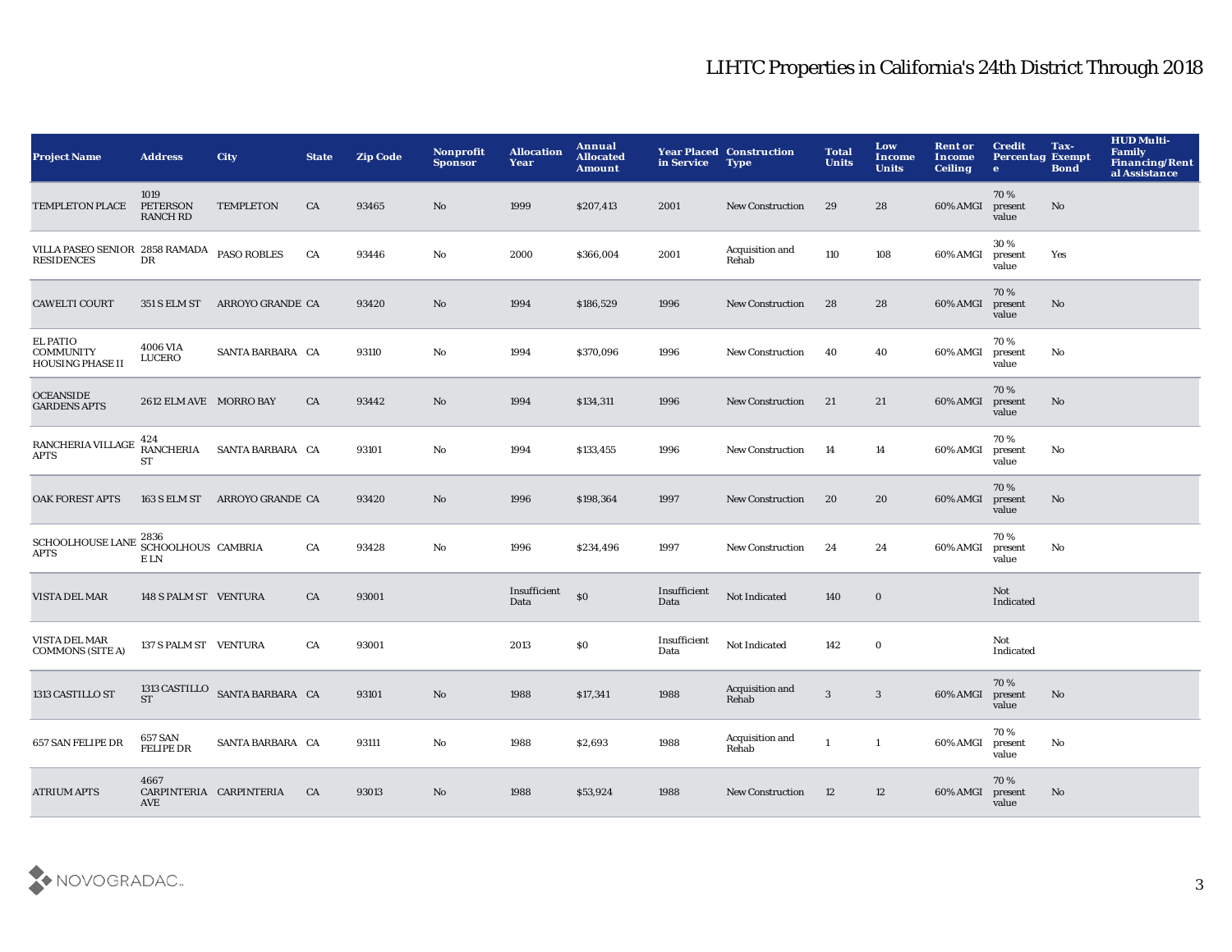| <b>Project Name</b>                                            | <b>Address</b>                             | <b>City</b>                    | <b>State</b> | <b>Zip Code</b> | Nonprofit<br><b>Sponsor</b> | <b>Allocation</b><br>Year | Annual<br><b>Allocated</b><br>Amount | in Service           | <b>Year Placed Construction</b><br><b>Type</b> | <b>Total</b><br><b>Units</b> | Low<br><b>Income</b><br><b>Units</b> | <b>Rent or</b><br>Income<br><b>Ceiling</b> | <b>Credit</b><br><b>Percentag Exempt</b><br>$\bullet$ | Tax-<br><b>Bond</b> | <b>HUD Multi-</b><br><b>Family</b><br>Financing/Rent<br>al Assistance |
|----------------------------------------------------------------|--------------------------------------------|--------------------------------|--------------|-----------------|-----------------------------|---------------------------|--------------------------------------|----------------------|------------------------------------------------|------------------------------|--------------------------------------|--------------------------------------------|-------------------------------------------------------|---------------------|-----------------------------------------------------------------------|
| <b>TEMPLETON PLACE</b>                                         | 1019<br><b>PETERSON</b><br><b>RANCH RD</b> | <b>TEMPLETON</b>               | CA           | 93465           | No                          | 1999                      | \$207,413                            | 2001                 | <b>New Construction</b>                        | 29                           | 28                                   | 60% AMGI                                   | 70%<br>present<br>value                               | No                  |                                                                       |
| VILLA PASEO SENIOR 2858 RAMADA<br><b>RESIDENCES</b>            | DR                                         | <b>PASO ROBLES</b>             | CA           | 93446           | No                          | 2000                      | \$366,004                            | 2001                 | Acquisition and<br>Rehab                       | 110                          | 108                                  | 60% AMGI                                   | 30 %<br>present<br>value                              | Yes                 |                                                                       |
| <b>CAWELTI COURT</b>                                           | 351 S ELM ST                               | ARROYO GRANDE CA               |              | 93420           | No                          | 1994                      | \$186,529                            | 1996                 | <b>New Construction</b>                        | 28                           | 28                                   | 60% AMGI                                   | 70%<br>present<br>value                               | $\mathbf{No}$       |                                                                       |
| <b>EL PATIO</b><br><b>COMMUNITY</b><br><b>HOUSING PHASE II</b> | 4006 VIA<br>LUCERO                         | SANTA BARBARA CA               |              | 93110           | No                          | 1994                      | \$370,096                            | 1996                 | New Construction                               | 40                           | 40                                   | 60% AMGI                                   | 70%<br>present<br>value                               | No                  |                                                                       |
| <b>OCEANSIDE</b><br><b>GARDENS APTS</b>                        | 2612 ELM AVE MORRO BAY                     |                                | CA           | 93442           | No                          | 1994                      | \$134,311                            | 1996                 | <b>New Construction</b>                        | 21                           | 21                                   | 60% AMGI                                   | 70%<br>present<br>value                               | $\mathbf{No}$       |                                                                       |
| RANCHERIA VILLAGE<br><b>APTS</b>                               | 424<br><b>RANCHERIA</b><br>ST              | SANTA BARBARA CA               |              | 93101           | No                          | 1994                      | \$133,455                            | 1996                 | <b>New Construction</b>                        | 14                           | 14                                   | 60% AMGI                                   | 70%<br>present<br>value                               | No                  |                                                                       |
| <b>OAK FOREST APTS</b>                                         | 163 S ELM ST                               | ARROYO GRANDE CA               |              | 93420           | No                          | 1996                      | \$198,364                            | 1997                 | <b>New Construction</b>                        | 20                           | 20                                   | 60% AMGI                                   | 70%<br>present<br>value                               | $\mathbf{No}$       |                                                                       |
| SCHOOLHOUSE LANE 2836<br>CHOOLHOUS CAMBRIA<br><b>APTS</b>      | E LN                                       |                                | CA           | 93428           | No                          | 1996                      | \$234,496                            | 1997                 | <b>New Construction</b>                        | 24                           | 24                                   | 60% AMGI                                   | 70%<br>present<br>value                               | No                  |                                                                       |
| VISTA DEL MAR                                                  | 148 S PALM ST VENTURA                      |                                | CA           | 93001           |                             | Insufficient<br>Data      | \$0                                  | Insufficient<br>Data | Not Indicated                                  | 140                          | $\mathbf 0$                          |                                            | Not<br>Indicated                                      |                     |                                                                       |
| VISTA DEL MAR<br><b>COMMONS (SITE A)</b>                       | 137 S PALM ST VENTURA                      |                                | CA           | 93001           |                             | 2013                      | \$0                                  | Insufficient<br>Data | Not Indicated                                  | 142                          | $\mathbf 0$                          |                                            | Not<br>Indicated                                      |                     |                                                                       |
| 1313 CASTILLO ST                                               | <b>ST</b>                                  | 1313 CASTILLO SANTA BARBARA CA |              | 93101           | No                          | 1988                      | \$17,341                             | 1988                 | Acquisition and<br>Rehab                       | $\sqrt{3}$                   | $\sqrt{3}$                           | 60% AMGI                                   | 70%<br>present<br>value                               | No                  |                                                                       |
| 657 SAN FELIPE DR                                              | 657 SAN<br><b>FELIPE DR</b>                | SANTA BARBARA CA               |              | 93111           | No                          | 1988                      | \$2,693                              | 1988                 | Acquisition and<br>Rehab                       | $\mathbf{1}$                 | $\mathbf{1}$                         | 60% AMGI                                   | 70%<br>present<br>value                               | No                  |                                                                       |
| <b>ATRIUM APTS</b>                                             | 4667<br>AVE                                | CARPINTERIA CARPINTERIA        | CA           | 93013           | No                          | 1988                      | \$53,924                             | 1988                 | <b>New Construction</b>                        | 12                           | 12                                   | 60% AMGI                                   | 70%<br>present<br>value                               | No                  |                                                                       |

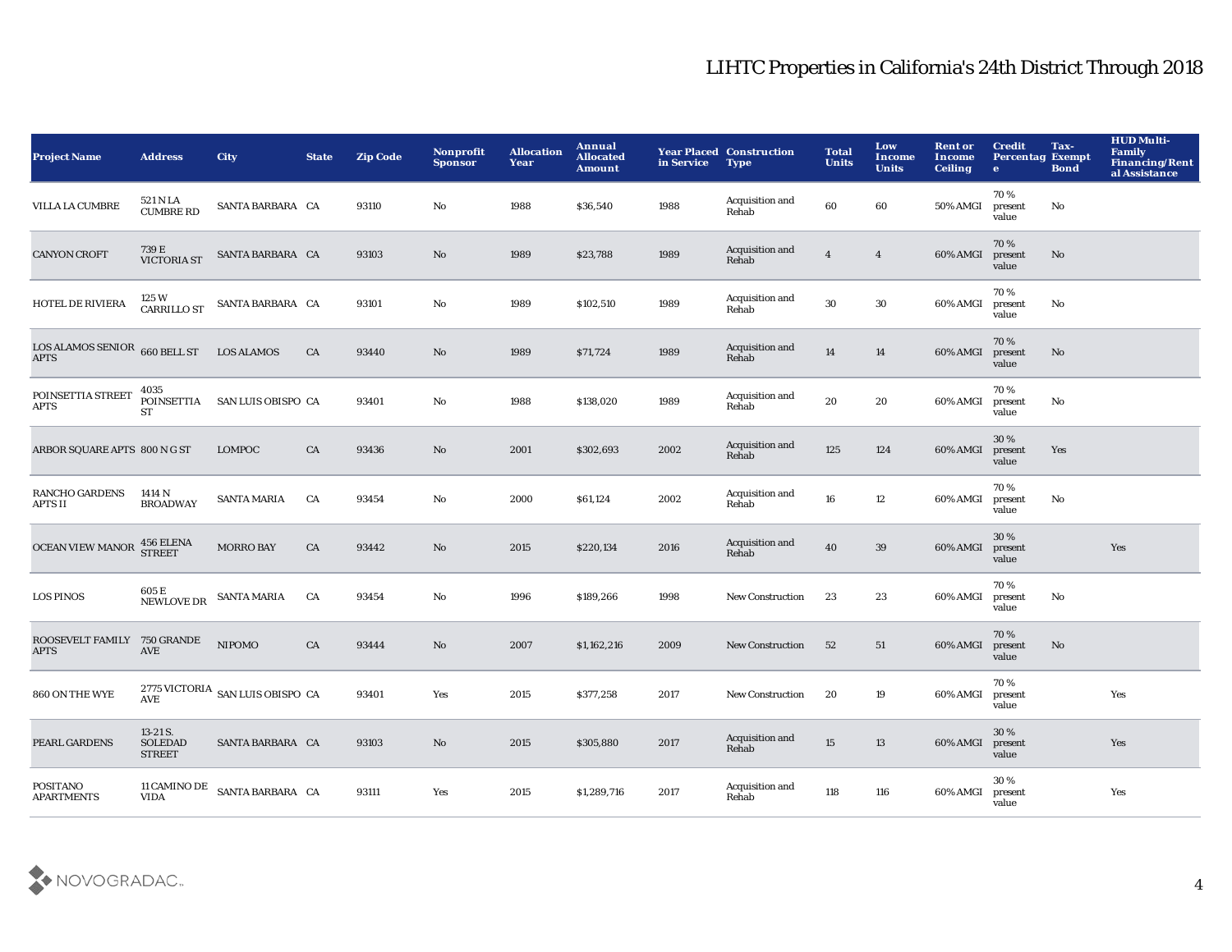| <b>Project Name</b>                            | <b>Address</b>                              | <b>City</b>                      | <b>State</b> | <b>Zip Code</b> | Nonprofit<br><b>Sponsor</b> | <b>Allocation</b><br>Year | Annual<br><b>Allocated</b><br><b>Amount</b> | in Service | <b>Year Placed Construction</b><br><b>Type</b> | <b>Total</b><br><b>Units</b> | Low<br><b>Income</b><br><b>Units</b> | <b>Rent or</b><br><b>Income</b><br><b>Ceiling</b> | <b>Credit</b><br><b>Percentag Exempt</b><br>$\bullet$ | Tax-<br><b>Bond</b> | <b>HUD Multi-</b><br>Family<br><b>Financing/Rent</b><br>al Assistance |
|------------------------------------------------|---------------------------------------------|----------------------------------|--------------|-----------------|-----------------------------|---------------------------|---------------------------------------------|------------|------------------------------------------------|------------------------------|--------------------------------------|---------------------------------------------------|-------------------------------------------------------|---------------------|-----------------------------------------------------------------------|
| VILLA LA CUMBRE                                | 521 N LA<br>CUMBRE RD                       | SANTA BARBARA CA                 |              | 93110           | No                          | 1988                      | \$36,540                                    | 1988       | Acquisition and<br>Rehab                       | 60                           | 60                                   | 50% AMGI                                          | 70%<br>present<br>value                               | No                  |                                                                       |
| <b>CANYON CROFT</b>                            | 739 E<br>VICTORIA ST                        | SANTA BARBARA CA                 |              | 93103           | No                          | 1989                      | \$23,788                                    | 1989       | Acquisition and<br>Rehab                       | $\overline{4}$               | $\overline{4}$                       | 60% AMGI                                          | 70%<br>present<br>value                               | No                  |                                                                       |
| <b>HOTEL DE RIVIERA</b>                        | 125 W<br>CARRILLO ST                        | SANTA BARBARA CA                 |              | 93101           | No                          | 1989                      | \$102,510                                   | 1989       | Acquisition and<br>Rehab                       | 30                           | 30                                   | 60% AMGI                                          | 70%<br>present<br>value                               | No                  |                                                                       |
| LOS ALAMOS SENIOR $660$ BELL ST<br><b>APTS</b> |                                             | <b>LOS ALAMOS</b>                | CA           | 93440           | No                          | 1989                      | \$71,724                                    | 1989       | Acquisition and<br>Rehab                       | 14                           | 14                                   | 60% AMGI                                          | 70%<br>present<br>value                               | No                  |                                                                       |
| POINSETTIA STREET<br>APTS                      | 4035<br>ST                                  | POINSETTIA SAN LUIS OBISPO CA    |              | 93401           | No                          | 1988                      | \$138,020                                   | 1989       | Acquisition and<br>Rehab                       | 20                           | 20                                   | 60% AMGI                                          | 70%<br>present<br>value                               | No                  |                                                                       |
| ARBOR SQUARE APTS 800 N G ST                   |                                             | <b>LOMPOC</b>                    | CA           | 93436           | No                          | 2001                      | \$302,693                                   | 2002       | Acquisition and<br>Rehab                       | 125                          | 124                                  | 60% AMGI                                          | 30 %<br>present<br>value                              | Yes                 |                                                                       |
| <b>RANCHO GARDENS</b><br>APTS II               | 1414 N<br><b>BROADWAY</b>                   | <b>SANTA MARIA</b>               | CA           | 93454           | No                          | 2000                      | \$61,124                                    | 2002       | Acquisition and<br>Rehab                       | 16                           | 12                                   | 60% AMGI                                          | 70%<br>present<br>value                               | No                  |                                                                       |
| <b>OCEAN VIEW MANOR</b>                        | 456 ELENA<br>STREET                         | <b>MORRO BAY</b>                 | CA           | 93442           | No.                         | 2015                      | \$220,134                                   | 2016       | Acquisition and<br>Rehab                       | 40                           | 39                                   | 60% AMGI                                          | 30 %<br>present<br>value                              |                     | Yes                                                                   |
| <b>LOS PINOS</b>                               | 605 E<br>NEWLOVE DR                         | SANTA MARIA                      | CA           | 93454           | No                          | 1996                      | \$189,266                                   | 1998       | <b>New Construction</b>                        | 23                           | 23                                   | 60% AMGI                                          | 70%<br>present<br>value                               | No                  |                                                                       |
| ROOSEVELT FAMILY 750 GRANDE<br><b>APTS</b>     | AVE                                         | <b>NIPOMO</b>                    | CA           | 93444           | No                          | 2007                      | \$1,162,216                                 | 2009       | <b>New Construction</b>                        | 52                           | 51                                   | 60% AMGI                                          | 70%<br>present<br>value                               | No                  |                                                                       |
| 860 ON THE WYE                                 | <b>AVE</b>                                  | 2775 VICTORIA SAN LUIS OBISPO CA |              | 93401           | Yes                         | 2015                      | \$377,258                                   | 2017       | <b>New Construction</b>                        | 20                           | 19                                   | 60% AMGI                                          | 70%<br>present<br>value                               |                     | Yes                                                                   |
| <b>PEARL GARDENS</b>                           | 13-21 S.<br><b>SOLEDAD</b><br><b>STREET</b> | SANTA BARBARA CA                 |              | 93103           | No.                         | 2015                      | \$305,880                                   | 2017       | Acquisition and<br>Rehab                       | 15                           | 13                                   | 60% AMGI                                          | 30 %<br>present<br>value                              |                     | Yes                                                                   |
| POSITANO<br><b>APARTMENTS</b>                  | 11 CAMINO DE<br><b>VIDA</b>                 | SANTA BARBARA CA                 |              | 93111           | Yes                         | 2015                      | \$1,289,716                                 | 2017       | Acquisition and<br>Rehab                       | 118                          | 116                                  | 60% AMGI                                          | 30 %<br>present<br>value                              |                     | Yes                                                                   |

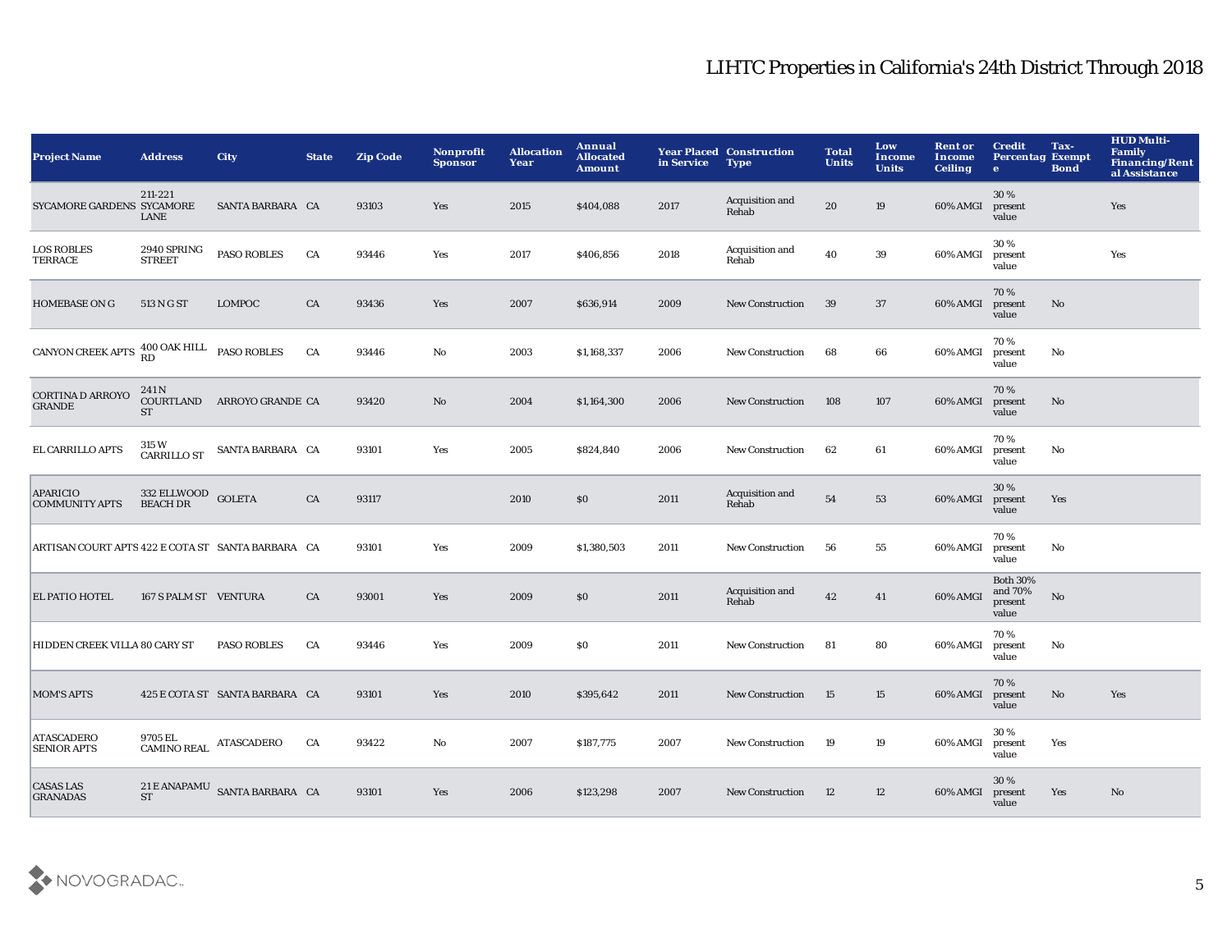| <b>Address</b>                                      | <b>City</b>        | <b>State</b>                                                                                                                    | <b>Zip Code</b>                                                                                                                                                                                        | Nonprofit<br><b>Sponsor</b> | <b>Allocation</b><br>Year | Annual<br><b>Allocated</b><br><b>Amount</b> | in Service | <b>Type</b>              | <b>Total</b><br><b>Units</b>    | Low<br>Income<br><b>Units</b> | <b>Rent or</b><br><b>Income</b><br><b>Ceiling</b> | <b>Credit</b><br>e.                            | Tax-<br><b>Bond</b>    | <b>HUD Multi-</b><br><b>Family</b><br><b>Financing/Rent</b><br>al Assistance |
|-----------------------------------------------------|--------------------|---------------------------------------------------------------------------------------------------------------------------------|--------------------------------------------------------------------------------------------------------------------------------------------------------------------------------------------------------|-----------------------------|---------------------------|---------------------------------------------|------------|--------------------------|---------------------------------|-------------------------------|---------------------------------------------------|------------------------------------------------|------------------------|------------------------------------------------------------------------------|
| 211-221<br>SYCAMORE GARDENS SYCAMORE<br><b>LANE</b> |                    |                                                                                                                                 | 93103                                                                                                                                                                                                  | Yes                         | 2015                      | \$404,088                                   | 2017       | Acquisition and<br>Rehab | 20                              | 19                            | 60% AMGI                                          | 30%<br>present<br>value                        |                        | Yes                                                                          |
| 2940 SPRING<br><b>STREET</b>                        | <b>PASO ROBLES</b> | ${\rm CA}$                                                                                                                      | 93446                                                                                                                                                                                                  | Yes                         | 2017                      | \$406,856                                   | 2018       | Acquisition and<br>Rehab | 40                              | 39                            | 60% AMGI                                          | 30%<br>present<br>value                        |                        | Yes                                                                          |
| 513 N G ST                                          | <b>LOMPOC</b>      | CA                                                                                                                              | 93436                                                                                                                                                                                                  | Yes                         | 2007                      | \$636,914                                   | 2009       | <b>New Construction</b>  | 39                              | 37                            | 60% AMGI                                          | 70%<br>present<br>value                        | No                     |                                                                              |
|                                                     |                    | CA                                                                                                                              | 93446                                                                                                                                                                                                  | No                          | 2003                      | \$1,168,337                                 | 2006       | New Construction         | 68                              | 66                            | 60% AMGI                                          | 70%<br>present<br>value                        | No                     |                                                                              |
| 241 N<br><b>ST</b>                                  |                    |                                                                                                                                 | 93420                                                                                                                                                                                                  | No                          | 2004                      | \$1,164,300                                 | 2006       | <b>New Construction</b>  | 108                             | 107                           | 60% AMGI                                          | 70%<br>present<br>value                        | No                     |                                                                              |
| 315 W<br>CARRILLO ST                                |                    |                                                                                                                                 | 93101                                                                                                                                                                                                  | Yes                         | 2005                      | \$824,840                                   | 2006       | <b>New Construction</b>  | 62                              | 61                            | 60% AMGI                                          | 70%<br>present<br>value                        | No                     |                                                                              |
| <b>BEACH DR</b>                                     |                    | CA                                                                                                                              | 93117                                                                                                                                                                                                  |                             | 2010                      | \$0                                         | 2011       | Acquisition and<br>Rehab | 54                              | 53                            | 60% AMGI                                          | 30%<br>present<br>value                        | Yes                    |                                                                              |
|                                                     |                    |                                                                                                                                 | 93101                                                                                                                                                                                                  | Yes                         | 2009                      | \$1,380,503                                 | 2011       | <b>New Construction</b>  | 56                              | 55                            | 60% AMGI                                          | 70%<br>present<br>value                        | No                     |                                                                              |
|                                                     |                    | CA                                                                                                                              | 93001                                                                                                                                                                                                  | Yes                         | 2009                      | \$0                                         | 2011       | Acquisition and<br>Rehab | 42                              | 41                            | 60% AMGI                                          | <b>Both 30%</b><br>and 70%<br>present<br>value | $\rm\thinspace No$     |                                                                              |
| HIDDEN CREEK VILLA 80 CARY ST                       | <b>PASO ROBLES</b> | CA                                                                                                                              | 93446                                                                                                                                                                                                  | Yes                         | 2009                      | \$0                                         | 2011       | New Construction         | 81                              | 80                            | 60% AMGI                                          | 70%<br>present<br>value                        | No                     |                                                                              |
|                                                     |                    |                                                                                                                                 | 93101                                                                                                                                                                                                  | Yes                         | 2010                      | \$395,642                                   | 2011       | <b>New Construction</b>  | 15                              | 15                            | 60% AMGI                                          | 70%<br>present<br>value                        | $\mathbf{N}\mathbf{o}$ | Yes                                                                          |
|                                                     |                    | CA                                                                                                                              | 93422                                                                                                                                                                                                  | No                          | 2007                      | \$187,775                                   | 2007       | <b>New Construction</b>  | 19                              | 19                            | 60% AMGI                                          | 30%<br>present<br>value                        | Yes                    |                                                                              |
| <b>ST</b>                                           |                    |                                                                                                                                 | 93101                                                                                                                                                                                                  | Yes                         | 2006                      | \$123,298                                   | 2007       | <b>New Construction</b>  | 12                              | 12                            | 60% AMGI                                          | 30%<br>present<br>value                        | Yes                    | No                                                                           |
|                                                     |                    | CANYON CREEK APTS ${}^{400}_{RD}$ OAK HILL PASO ROBLES<br>332 ELLWOOD GOLETA<br>167 S PALM ST VENTURA<br>CAMINO REAL ATASCADERO | SANTA BARBARA CA<br>COURTLAND ARROYO GRANDE CA<br>SANTA BARBARA CA<br>ARTISAN COURT APTS 422 E COTA ST SANTA BARBARA CA<br>425 E COTA ST SANTA BARBARA CA<br>$21\,\mathrm{E}$ ANAPAMU SANTA BARBARA CA |                             |                           |                                             |            |                          | <b>Year Placed Construction</b> |                               |                                                   |                                                |                        | <b>Percentag Exempt</b>                                                      |

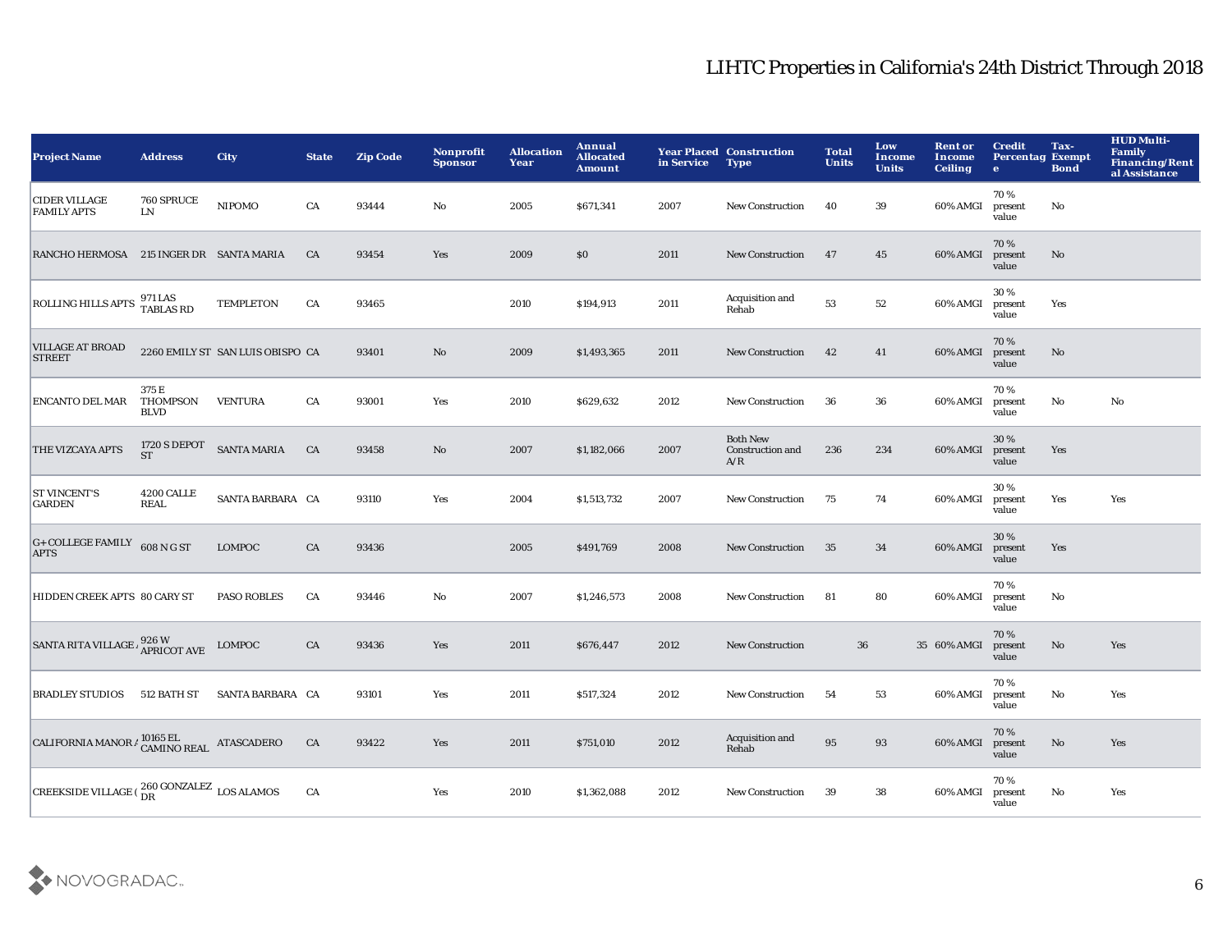| <b>Project Name</b>                                          | <b>Address</b>                   | <b>City</b>                      | <b>State</b> | <b>Zip Code</b> | Nonprofit<br><b>Sponsor</b> | <b>Allocation</b><br>Year | Annual<br><b>Allocated</b><br><b>Amount</b> | in Service | <b>Year Placed Construction</b><br><b>Type</b>    | <b>Total</b><br><b>Units</b> | Low<br>Income<br><b>Units</b> | <b>Rent or</b><br>Income<br><b>Ceiling</b> | <b>Credit</b><br><b>Percentag Exempt</b><br>$\bullet$ | Tax-<br><b>Bond</b>    | <b>HUD Multi-</b><br><b>Family</b><br><b>Financing/Rent</b><br>al Assistance |
|--------------------------------------------------------------|----------------------------------|----------------------------------|--------------|-----------------|-----------------------------|---------------------------|---------------------------------------------|------------|---------------------------------------------------|------------------------------|-------------------------------|--------------------------------------------|-------------------------------------------------------|------------------------|------------------------------------------------------------------------------|
| <b>CIDER VILLAGE</b><br><b>FAMILY APTS</b>                   | 760 SPRUCE<br>LN                 | <b>NIPOMO</b>                    | CA           | 93444           | No                          | 2005                      | \$671,341                                   | 2007       | <b>New Construction</b>                           | 40                           | 39                            | 60% AMGI                                   | 70%<br>present<br>value                               | No                     |                                                                              |
| RANCHO HERMOSA 215 INGER DR SANTA MARIA                      |                                  |                                  | CA           | 93454           | Yes                         | 2009                      | \$0                                         | 2011       | <b>New Construction</b>                           | 47                           | 45                            | 60% AMGI                                   | 70%<br>present<br>value                               | $\mathbf{N}\mathbf{o}$ |                                                                              |
| ROLLING HILLS APTS 971 LAS<br>TABLAS RD                      |                                  | <b>TEMPLETON</b>                 | CA           | 93465           |                             | 2010                      | \$194,913                                   | 2011       | Acquisition and<br>Rehab                          | 53                           | 52                            | 60% AMGI                                   | 30%<br>present<br>value                               | Yes                    |                                                                              |
| <b>VILLAGE AT BROAD</b><br><b>STREET</b>                     |                                  | 2260 EMILY ST SAN LUIS OBISPO CA |              | 93401           | No                          | 2009                      | \$1,493,365                                 | 2011       | <b>New Construction</b>                           | 42                           | 41                            | 60% AMGI                                   | 70%<br>present<br>value                               | No                     |                                                                              |
| ENCANTO DEL MAR                                              | 375 E<br>THOMPSON<br><b>BLVD</b> | <b>VENTURA</b>                   | CA           | 93001           | Yes                         | 2010                      | \$629,632                                   | 2012       | <b>New Construction</b>                           | -36                          | 36                            | 60% AMGI                                   | 70%<br>present<br>value                               | $\rm No$               | $\mathbf{N}\mathbf{o}$                                                       |
| <b>THE VIZCAYA APTS</b>                                      | <b>1720 S DEPOT</b><br><b>ST</b> | <b>SANTA MARIA</b>               | CA           | 93458           | No                          | 2007                      | \$1,182,066                                 | 2007       | <b>Both New</b><br><b>Construction and</b><br>A/R | 236                          | 234                           | 60% AMGI                                   | 30%<br>present<br>value                               | Yes                    |                                                                              |
| <b>ST VINCENT'S</b><br><b>GARDEN</b>                         | 4200 CALLE<br><b>REAL</b>        | SANTA BARBARA CA                 |              | 93110           | Yes                         | 2004                      | \$1,513,732                                 | 2007       | <b>New Construction</b>                           | 75                           | 74                            | 60% AMGI                                   | 30%<br>present<br>value                               | Yes                    | Yes                                                                          |
| $G+COLLEGE$ FAMILY 608 N G ST<br><b>APTS</b>                 |                                  | LOMPOC                           | CA           | 93436           |                             | 2005                      | \$491,769                                   | 2008       | <b>New Construction</b>                           | 35                           | 34                            | 60% AMGI                                   | 30%<br>present<br>value                               | Yes                    |                                                                              |
| HIDDEN CREEK APTS 80 CARY ST                                 |                                  | <b>PASO ROBLES</b>               | CA           | 93446           | $\mathbf{No}$               | 2007                      | \$1,246,573                                 | 2008       | <b>New Construction</b>                           | 81                           | 80                            | 60% AMGI                                   | 70%<br>present<br>value                               | No                     |                                                                              |
| SANTA RITA VILLAGE / 926 W<br>APRICOT AVE                    |                                  | LOMPOC                           | CA           | 93436           | Yes                         | 2011                      | \$676,447                                   | 2012       | New Construction                                  |                              | 36                            | 35 60% AMGI                                | 70%<br>present<br>value                               | $\mathbf{N}\mathbf{o}$ | Yes                                                                          |
| <b>BRADLEY STUDIOS</b>                                       | 512 BATH ST                      | SANTA BARBARA CA                 |              | 93101           | Yes                         | 2011                      | \$517,324                                   | 2012       | <b>New Construction</b>                           | 54                           | 53                            | 60% AMGI                                   | 70%<br>present<br>value                               | $\rm No$               | Yes                                                                          |
| CALIFORNIA MANOR $\beta$ CAMINO REAL ATASCADERO              |                                  |                                  | CA           | 93422           | Yes                         | 2011                      | \$751,010                                   | 2012       | Acquisition and<br>Rehab                          | 95                           | 93                            | 60% AMGI                                   | 70%<br>present<br>value                               | $\mathbf{N}\mathbf{o}$ | Yes                                                                          |
| CREEKSIDE VILLAGE ( $_{\text{DR}}^{260}$ GONZALEZ LOS ALAMOS |                                  |                                  | CA           |                 | Yes                         | 2010                      | \$1,362,088                                 | 2012       | <b>New Construction</b>                           | 39                           | 38                            | 60% AMGI                                   | 70%<br>present<br>value                               | No                     | Yes                                                                          |

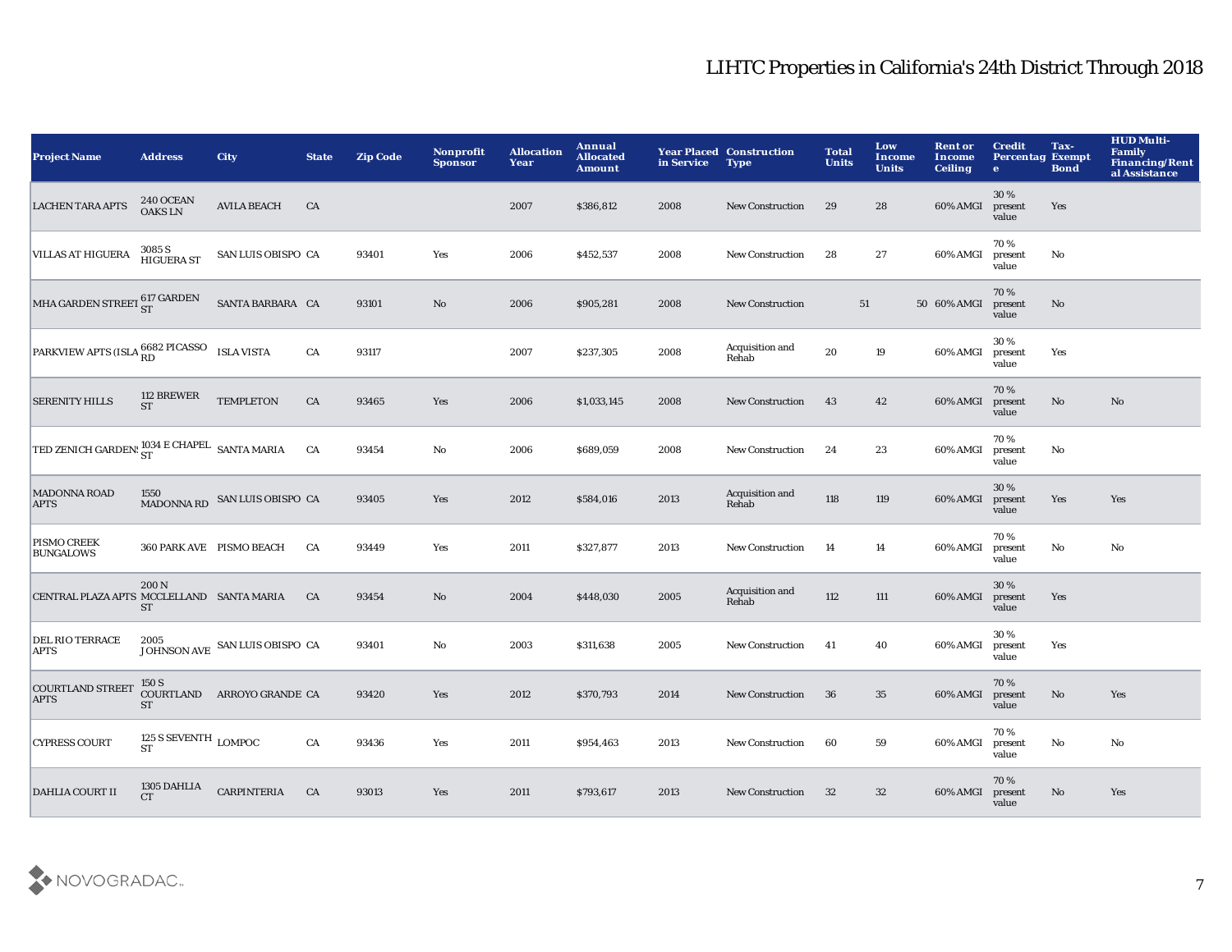| <b>Project Name</b>                          | <b>Address</b>                              | <b>City</b>                    | <b>State</b> | <b>Zip Code</b> | Nonprofit<br><b>Sponsor</b> | <b>Allocation</b><br>Year | Annual<br><b>Allocated</b><br><b>Amount</b> | in Service | <b>Year Placed Construction</b><br><b>Type</b> | <b>Total</b><br><b>Units</b> | Low<br>Income<br><b>Units</b> | <b>Rent or</b><br>Income<br><b>Ceiling</b> | <b>Credit</b><br><b>Percentag Exempt</b><br>$\bullet$ | Tax-<br><b>Bond</b>    | <b>HUD Multi-</b><br>Family<br><b>Financing/Rent</b><br>al Assistance |
|----------------------------------------------|---------------------------------------------|--------------------------------|--------------|-----------------|-----------------------------|---------------------------|---------------------------------------------|------------|------------------------------------------------|------------------------------|-------------------------------|--------------------------------------------|-------------------------------------------------------|------------------------|-----------------------------------------------------------------------|
| <b>LACHEN TARA APTS</b>                      | <b>240 OCEAN</b><br><b>OAKSLN</b>           | <b>AVILA BEACH</b>             | CA           |                 |                             | 2007                      | \$386,812                                   | 2008       | <b>New Construction</b>                        | 29                           | 28                            | 60% AMGI                                   | 30%<br>present<br>value                               | Yes                    |                                                                       |
| <b>VILLAS AT HIGUERA</b>                     | 3085 S<br>HIGUERA ST                        | SAN LUIS OBISPO CA             |              | 93401           | Yes                         | 2006                      | \$452,537                                   | 2008       | New Construction                               | 28                           | 27                            | 60% AMGI                                   | 70%<br>present<br>value                               | No                     |                                                                       |
| MHA GARDEN STREET 617 GARDEN                 |                                             | SANTA BARBARA CA               |              | 93101           | $\mathbf{No}$               | 2006                      | \$905,281                                   | 2008       | <b>New Construction</b>                        | 51                           |                               | 50 60% AMGI                                | 70%<br>present<br>value                               | No                     |                                                                       |
| PARKVIEW APTS (ISLA RD PICASSO ISLA VISTA    |                                             |                                | CA           | 93117           |                             | 2007                      | \$237,305                                   | 2008       | Acquisition and<br>Rehab                       | 20                           | 19                            | 60% AMGI                                   | 30%<br>present<br>value                               | Yes                    |                                                                       |
| <b>SERENITY HILLS</b>                        | 112 BREWER<br><b>ST</b>                     | <b>TEMPLETON</b>               | ${\rm CA}$   | 93465           | Yes                         | 2006                      | \$1,033,145                                 | 2008       | New Construction                               | 43                           | 42                            | 60% AMGI                                   | 70%<br>present<br>value                               | No                     | No                                                                    |
| TED ZENICH GARDEN: 1034 E CHAPEL SANTA MARIA |                                             |                                | CA           | 93454           | $\mathbf {No}$              | 2006                      | \$689,059                                   | 2008       | <b>New Construction</b>                        | 24                           | 23                            | 60% AMGI                                   | 70%<br>present<br>value                               | No                     |                                                                       |
| <b>MADONNA ROAD</b><br><b>APTS</b>           | 1550<br><b>MADONNA RD</b>                   | SAN LUIS OBISPO CA             |              | 93405           | Yes                         | 2012                      | \$584,016                                   | 2013       | Acquisition and<br>Rehab                       | 118                          | 119                           | 60% AMGI                                   | $30\,\%$<br>present<br>value                          | Yes                    | Yes                                                                   |
| PISMO CREEK<br><b>BUNGALOWS</b>              |                                             | 360 PARK AVE PISMO BEACH       | CA           | 93449           | Yes                         | 2011                      | \$327,877                                   | 2013       | New Construction                               | -14                          | 14                            | 60% AMGI                                   | 70%<br>present<br>value                               | $\mathbf{No}$          | No                                                                    |
| CENTRAL PLAZA APTS MCCLELLAND SANTA MARIA    | 200 N<br><b>ST</b>                          |                                | CA           | 93454           | No                          | 2004                      | \$448,030                                   | 2005       | Acquisition and<br>Rehab                       | 112                          | 111                           | 60% AMGI                                   | 30%<br>present<br>value                               | Yes                    |                                                                       |
| DEL RIO TERRACE<br><b>APTS</b>               |                                             | JOHNSON AVE SAN LUIS OBISPO CA |              | 93401           | No                          | 2003                      | \$311,638                                   | 2005       | <b>New Construction</b>                        | 41                           | 40                            | 60% AMGI                                   | 30%<br>present<br>value                               | Yes                    |                                                                       |
| <b>COURTLAND STREET</b><br><b>APTS</b>       | 150 S<br><b>ST</b>                          | COURTLAND ARROYO GRANDE CA     |              | 93420           | Yes                         | 2012                      | \$370,793                                   | 2014       | <b>New Construction</b>                        | 36                           | 35                            | 60% AMGI                                   | 70%<br>present<br>value                               | $\mathbf{N}\mathbf{o}$ | Yes                                                                   |
| <b>CYPRESS COURT</b>                         | 125 S SEVENTH $_{\rm{LOMPOC}}$<br><b>ST</b> |                                | ${\rm CA}$   | 93436           | Yes                         | 2011                      | \$954,463                                   | 2013       | New Construction                               | 60                           | 59                            | 60% AMGI                                   | 70%<br>present<br>value                               | No                     | No                                                                    |
| <b>DAHLIA COURT II</b>                       | 1305 DAHLIA<br>CT                           | <b>CARPINTERIA</b>             | CA           | 93013           | <b>Yes</b>                  | 2011                      | \$793,617                                   | 2013       | <b>New Construction</b>                        | 32                           | 32                            | 60% AMGI                                   | 70%<br>present<br>value                               | No.                    | Yes                                                                   |

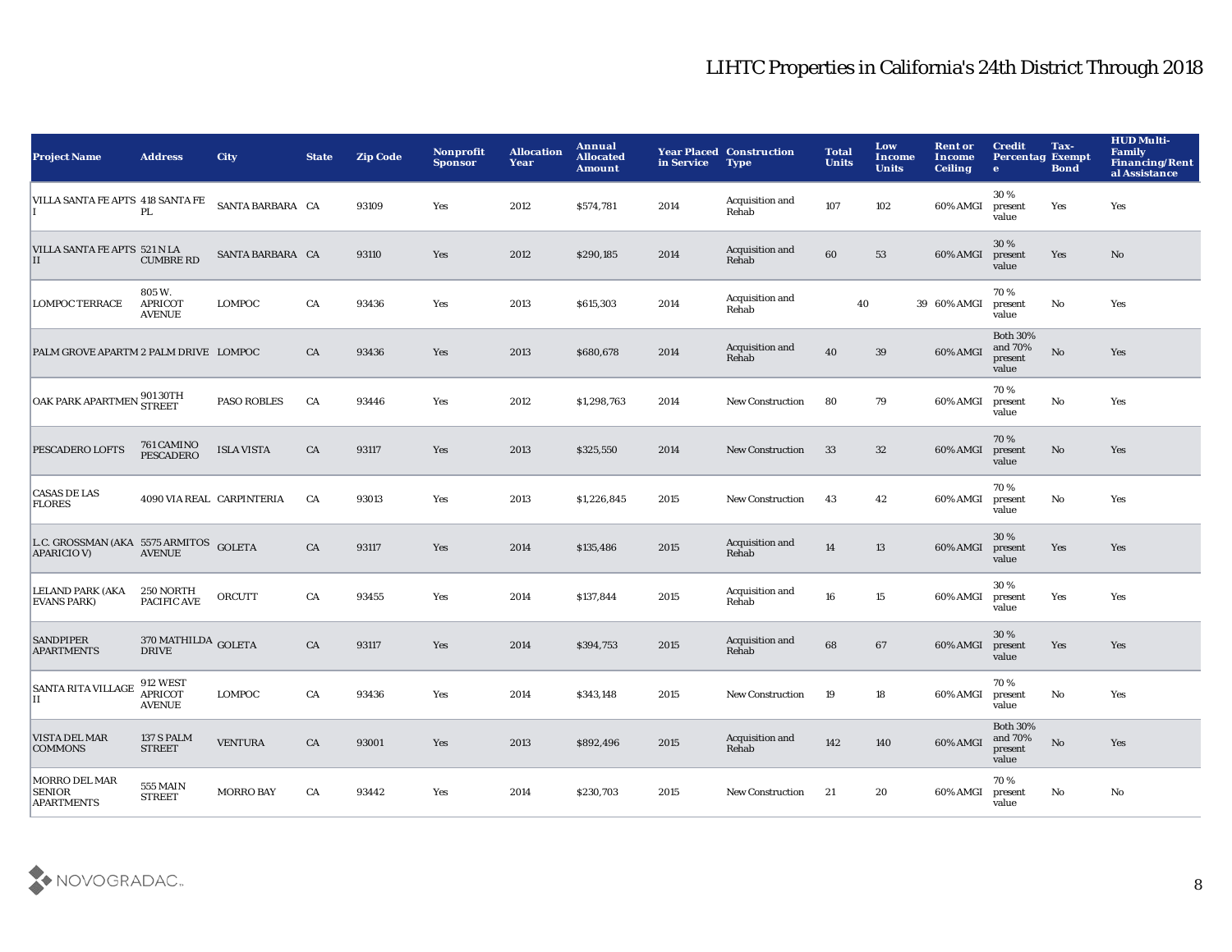| <b>Project Name</b>                                          | <b>Address</b>                               | City                      | <b>State</b> | <b>Zip Code</b> | Nonprofit<br><b>Sponsor</b> | <b>Allocation</b><br>Year | Annual<br><b>Allocated</b><br><b>Amount</b> | in Service | <b>Year Placed Construction</b><br><b>Type</b> | <b>Total</b><br><b>Units</b> | Low<br>Income<br><b>Units</b> | <b>Rent or</b><br>Income<br><b>Ceiling</b> | <b>Credit</b><br><b>Percentag Exempt</b><br>$\bullet$ | Tax-<br><b>Bond</b> | <b>HUD Multi-</b><br><b>Family</b><br><b>Financing/Rent</b><br>al Assistance |
|--------------------------------------------------------------|----------------------------------------------|---------------------------|--------------|-----------------|-----------------------------|---------------------------|---------------------------------------------|------------|------------------------------------------------|------------------------------|-------------------------------|--------------------------------------------|-------------------------------------------------------|---------------------|------------------------------------------------------------------------------|
| VILLA SANTA FE APTS 418 SANTA FE                             | PI.                                          | SANTA BARBARA CA          |              | 93109           | Yes                         | 2012                      | \$574,781                                   | 2014       | Acquisition and<br>Rehab                       | 107                          | 102                           | 60% AMGI                                   | 30%<br>present<br>value                               | Yes                 | Yes                                                                          |
| VILLA SANTA FE APTS 521 N LA<br>II                           | <b>CUMBRE RD</b>                             | SANTA BARBARA CA          |              | 93110           | Yes                         | 2012                      | \$290,185                                   | 2014       | Acquisition and<br>Rehab                       | 60                           | 53                            | 60% AMGI                                   | 30%<br>present<br>value                               | Yes                 | No                                                                           |
| <b>LOMPOC TERRACE</b>                                        | 805 W.<br><b>APRICOT</b><br><b>AVENUE</b>    | LOMPOC                    | CA           | 93436           | Yes                         | 2013                      | \$615,303                                   | 2014       | Acquisition and<br>Rehab                       | 40                           |                               | 39 60% AMGI                                | 70%<br>present<br>value                               | $\mathbf {No}$      | Yes                                                                          |
| PALM GROVE APARTM 2 PALM DRIVE LOMPOC                        |                                              |                           | CA           | 93436           | Yes                         | 2013                      | \$680,678                                   | 2014       | Acquisition and<br>Rehab                       | 40                           | $39\,$                        | 60% AMGI                                   | <b>Both 30%</b><br>and 70%<br>present<br>value        | $\mathbf {No}$      | Yes                                                                          |
| OAK PARK APARTMEN 901 30TH                                   |                                              | <b>PASO ROBLES</b>        | CA           | 93446           | Yes                         | 2012                      | \$1,298,763                                 | 2014       | <b>New Construction</b>                        | 80                           | 79                            | 60% AMGI                                   | 70%<br>present<br>value                               | $\mathbf{No}$       | Yes                                                                          |
| PESCADERO LOFTS                                              | 761 CAMINO<br><b>PESCADERO</b>               | <b>ISLA VISTA</b>         | CA           | 93117           | Yes                         | 2013                      | \$325,550                                   | 2014       | <b>New Construction</b>                        | 33                           | 32                            | 60% AMGI                                   | 70%<br>present<br>value                               | No                  | Yes                                                                          |
| <b>CASAS DE LAS</b><br><b>FLORES</b>                         |                                              | 4090 VIA REAL CARPINTERIA | CA           | 93013           | Yes                         | 2013                      | \$1,226,845                                 | 2015       | <b>New Construction</b>                        | 43                           | 42                            | 60% AMGI                                   | 70%<br>present<br>value                               | No                  | Yes                                                                          |
| L.C. GROSSMAN (AKA 5575 ARMITOS GOLETA<br><b>APARICIO V)</b> | <b>AVENUE</b>                                |                           | CA           | 93117           | Yes                         | 2014                      | \$135,486                                   | 2015       | Acquisition and<br>Rehab                       | 14                           | 13                            | 60% AMGI                                   | 30%<br>present<br>value                               | Yes                 | Yes                                                                          |
| <b>LELAND PARK (AKA</b><br><b>EVANS PARK)</b>                | 250 NORTH<br>PACIFIC AVE                     | <b>ORCUTT</b>             | CA           | 93455           | Yes                         | 2014                      | \$137,844                                   | 2015       | Acquisition and<br>Rehab                       | 16                           | 15                            | 60% AMGI                                   | 30%<br>present<br>value                               | Yes                 | Yes                                                                          |
| <b>SANDPIPER</b><br><b>APARTMENTS</b>                        | $370\,{\rm MATHILDA}$ GOLETA<br><b>DRIVE</b> |                           | CA           | 93117           | Yes                         | 2014                      | \$394,753                                   | 2015       | Acquisition and<br>Rehab                       | 68                           | 67                            | 60% AMGI                                   | 30%<br>present<br>value                               | Yes                 | Yes                                                                          |
| <b>SANTA RITA VILLAGE</b><br>$\rm II$                        | 912 WEST<br><b>APRICOT</b><br><b>AVENUE</b>  | LOMPOC                    | CA           | 93436           | Yes                         | 2014                      | \$343,148                                   | 2015       | <b>New Construction</b>                        | 19                           | 18                            | 60% AMGI                                   | 70%<br>present<br>value                               | $\mathbf {No}$      | Yes                                                                          |
| <b>VISTA DEL MAR</b><br><b>COMMONS</b>                       | 137 S PALM<br><b>STREET</b>                  | <b>VENTURA</b>            | CA           | 93001           | Yes                         | 2013                      | \$892,496                                   | 2015       | Acquisition and<br>Rehab                       | 142                          | 140                           | 60% AMGI                                   | <b>Both 30%</b><br>and 70%<br>present<br>value        | $\mathbf{No}$       | Yes                                                                          |
| MORRO DEL MAR<br><b>SENIOR</b><br><b>APARTMENTS</b>          | <b>555 MAIN</b><br><b>STREET</b>             | <b>MORRO BAY</b>          | CA           | 93442           | Yes                         | 2014                      | \$230,703                                   | 2015       | <b>New Construction</b>                        | 21                           | 20                            | 60% AMGI                                   | 70%<br>present<br>value                               | No                  | No                                                                           |